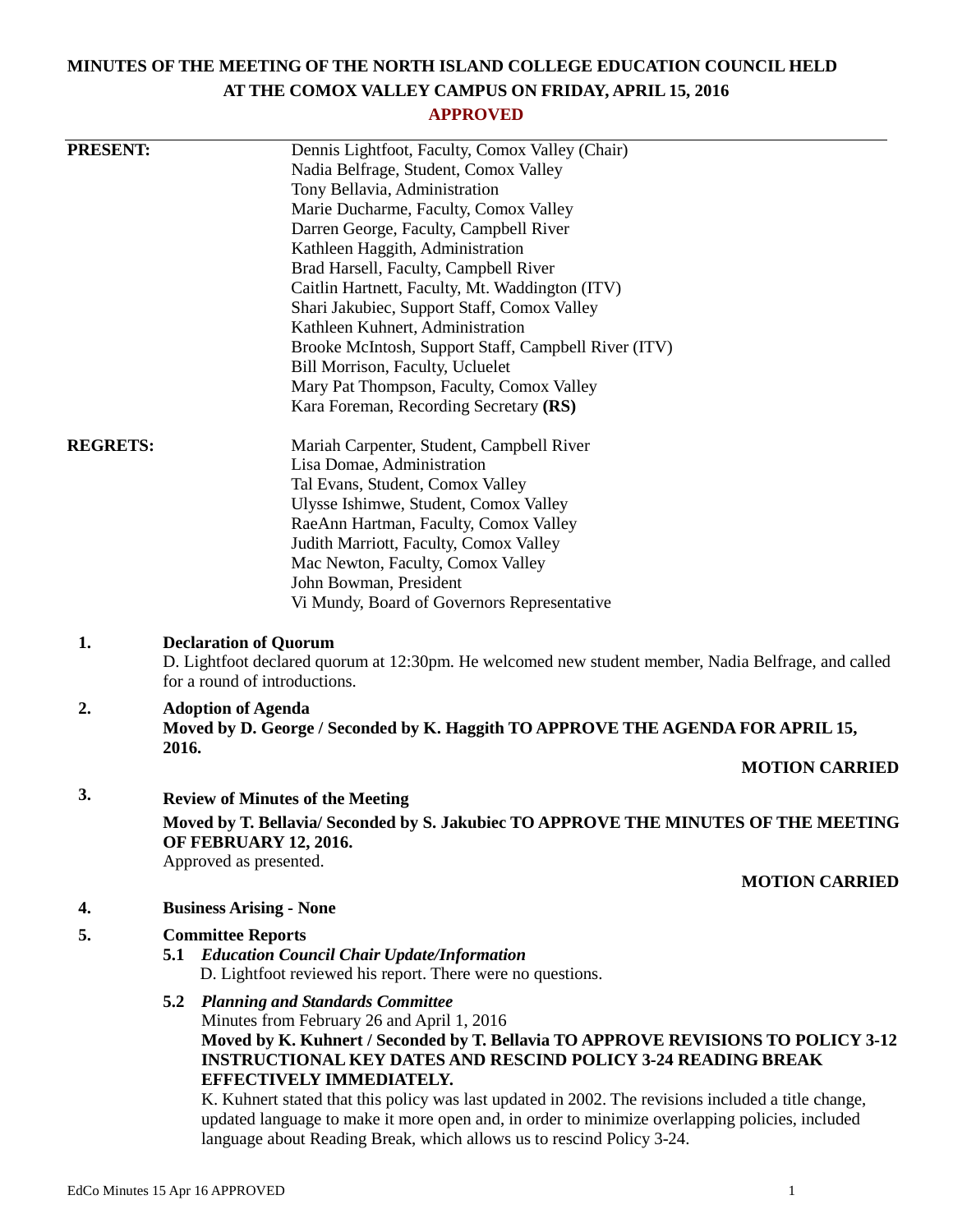# **MINUTES OF THE MEETING OF THE NORTH ISLAND COLLEGE EDUCATION COUNCIL HELD AT THE COMOX VALLEY CAMPUS ON FRIDAY, APRIL 15, 2016**

# **APPROVED**

| <b>PRESENT:</b> | Dennis Lightfoot, Faculty, Comox Valley (Chair)                                                                                                                         |
|-----------------|-------------------------------------------------------------------------------------------------------------------------------------------------------------------------|
|                 | Nadia Belfrage, Student, Comox Valley                                                                                                                                   |
|                 | Tony Bellavia, Administration                                                                                                                                           |
|                 | Marie Ducharme, Faculty, Comox Valley                                                                                                                                   |
|                 | Darren George, Faculty, Campbell River<br>Kathleen Haggith, Administration                                                                                              |
|                 | Brad Harsell, Faculty, Campbell River                                                                                                                                   |
|                 | Caitlin Hartnett, Faculty, Mt. Waddington (ITV)                                                                                                                         |
|                 | Shari Jakubiec, Support Staff, Comox Valley                                                                                                                             |
|                 | Kathleen Kuhnert, Administration                                                                                                                                        |
|                 | Brooke McIntosh, Support Staff, Campbell River (ITV)                                                                                                                    |
|                 | Bill Morrison, Faculty, Ucluelet                                                                                                                                        |
|                 | Mary Pat Thompson, Faculty, Comox Valley                                                                                                                                |
|                 | Kara Foreman, Recording Secretary (RS)                                                                                                                                  |
| <b>REGRETS:</b> | Mariah Carpenter, Student, Campbell River                                                                                                                               |
|                 | Lisa Domae, Administration                                                                                                                                              |
|                 | Tal Evans, Student, Comox Valley                                                                                                                                        |
|                 | Ulysse Ishimwe, Student, Comox Valley<br>RaeAnn Hartman, Faculty, Comox Valley                                                                                          |
|                 | Judith Marriott, Faculty, Comox Valley                                                                                                                                  |
|                 | Mac Newton, Faculty, Comox Valley                                                                                                                                       |
|                 | John Bowman, President                                                                                                                                                  |
|                 | Vi Mundy, Board of Governors Representative                                                                                                                             |
| 1.              | <b>Declaration of Quorum</b><br>D. Lightfoot declared quorum at 12:30pm. He welcomed new student member, Nadia Belfrage, and called<br>for a round of introductions.    |
| 2.              | <b>Adoption of Agenda</b><br>Moved by D. George / Seconded by K. Haggith TO APPROVE THE AGENDA FOR APRIL 15,                                                            |
|                 | 2016.<br><b>MOTION CARRIED</b>                                                                                                                                          |
| 3.              | <b>Review of Minutes of the Meeting</b>                                                                                                                                 |
|                 | Moved by T. Bellavia/Seconded by S. Jakubiec TO APPROVE THE MINUTES OF THE MEETING<br><b>OF FEBRUARY 12, 2016.</b><br>Approved as presented.                            |
|                 | <b>MOTION CARRIED</b>                                                                                                                                                   |
| 4.              | <b>Business Arising - None</b>                                                                                                                                          |
| 5.              | <b>Committee Reports</b>                                                                                                                                                |
|                 | 5.1 Education Council Chair Update/Information                                                                                                                          |
|                 | D. Lightfoot reviewed his report. There were no questions.                                                                                                              |
|                 | <b>5.2 Planning and Standards Committee</b>                                                                                                                             |
|                 | Minutes from February 26 and April 1, 2016                                                                                                                              |
|                 | Moved by K. Kuhnert / Seconded by T. Bellavia TO APPROVE REVISIONS TO POLICY 3-12                                                                                       |
|                 | <b>INSTRUCTIONAL KEY DATES AND RESCIND POLICY 3-24 READING BREAK</b><br>EFFECTIVELY IMMEDIATELY.                                                                        |
|                 | K. Kuhnert stated that this policy was last updated in 2002. The revisions included a title change,                                                                     |
|                 | updated language to make it more open and, in order to minimize overlapping policies, included<br>language about Reading Break, which allows us to rescind Policy 3-24. |
|                 |                                                                                                                                                                         |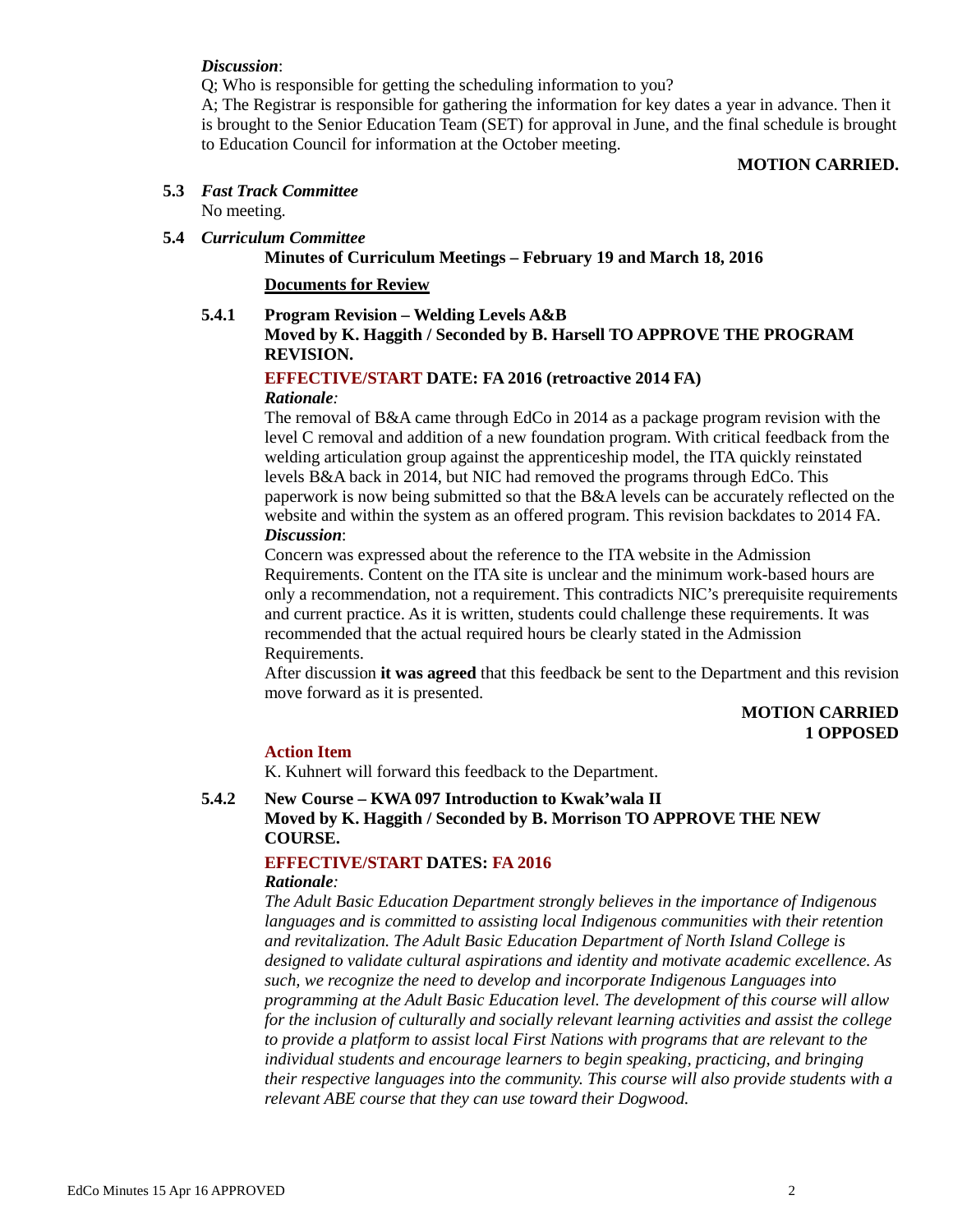#### *Discussion*:

Q; Who is responsible for getting the scheduling information to you?

A; The Registrar is responsible for gathering the information for key dates a year in advance. Then it is brought to the Senior Education Team (SET) for approval in June, and the final schedule is brought to Education Council for information at the October meeting.

#### **MOTION CARRIED.**

# **5.3** *Fast Track Committee*

No meeting.

## **5.4** *Curriculum Committee*

**Minutes of Curriculum Meetings – February 19 and March 18, 2016**

**Documents for Review**

### **5.4.1 Program Revision – Welding Levels A&B**

# **Moved by K. Haggith / Seconded by B. Harsell TO APPROVE THE PROGRAM REVISION.**

# **EFFECTIVE/START DATE: FA 2016 (retroactive 2014 FA)**

# *Rationale:*

The removal of B&A came through EdCo in 2014 as a package program revision with the level C removal and addition of a new foundation program. With critical feedback from the welding articulation group against the apprenticeship model, the ITA quickly reinstated levels B&A back in 2014, but NIC had removed the programs through EdCo. This paperwork is now being submitted so that the B&A levels can be accurately reflected on the website and within the system as an offered program. This revision backdates to 2014 FA. *Discussion*:

Concern was expressed about the reference to the ITA website in the Admission Requirements. Content on the ITA site is unclear and the minimum work-based hours are only a recommendation, not a requirement. This contradicts NIC's prerequisite requirements and current practice. As it is written, students could challenge these requirements. It was recommended that the actual required hours be clearly stated in the Admission Requirements.

After discussion **it was agreed** that this feedback be sent to the Department and this revision move forward as it is presented.

# **MOTION CARRIED 1 OPPOSED**

## **Action Item**

K. Kuhnert will forward this feedback to the Department.

## **5.4.2 New Course – KWA 097 Introduction to Kwak'wala II Moved by K. Haggith / Seconded by B. Morrison TO APPROVE THE NEW COURSE.**

# **EFFECTIVE/START DATES: FA 2016**

# *Rationale:*

*The Adult Basic Education Department strongly believes in the importance of Indigenous languages and is committed to assisting local Indigenous communities with their retention and revitalization. The Adult Basic Education Department of North Island College is designed to validate cultural aspirations and identity and motivate academic excellence. As such, we recognize the need to develop and incorporate Indigenous Languages into programming at the Adult Basic Education level. The development of this course will allow for the inclusion of culturally and socially relevant learning activities and assist the college to provide a platform to assist local First Nations with programs that are relevant to the individual students and encourage learners to begin speaking, practicing, and bringing their respective languages into the community. This course will also provide students with a relevant ABE course that they can use toward their Dogwood.*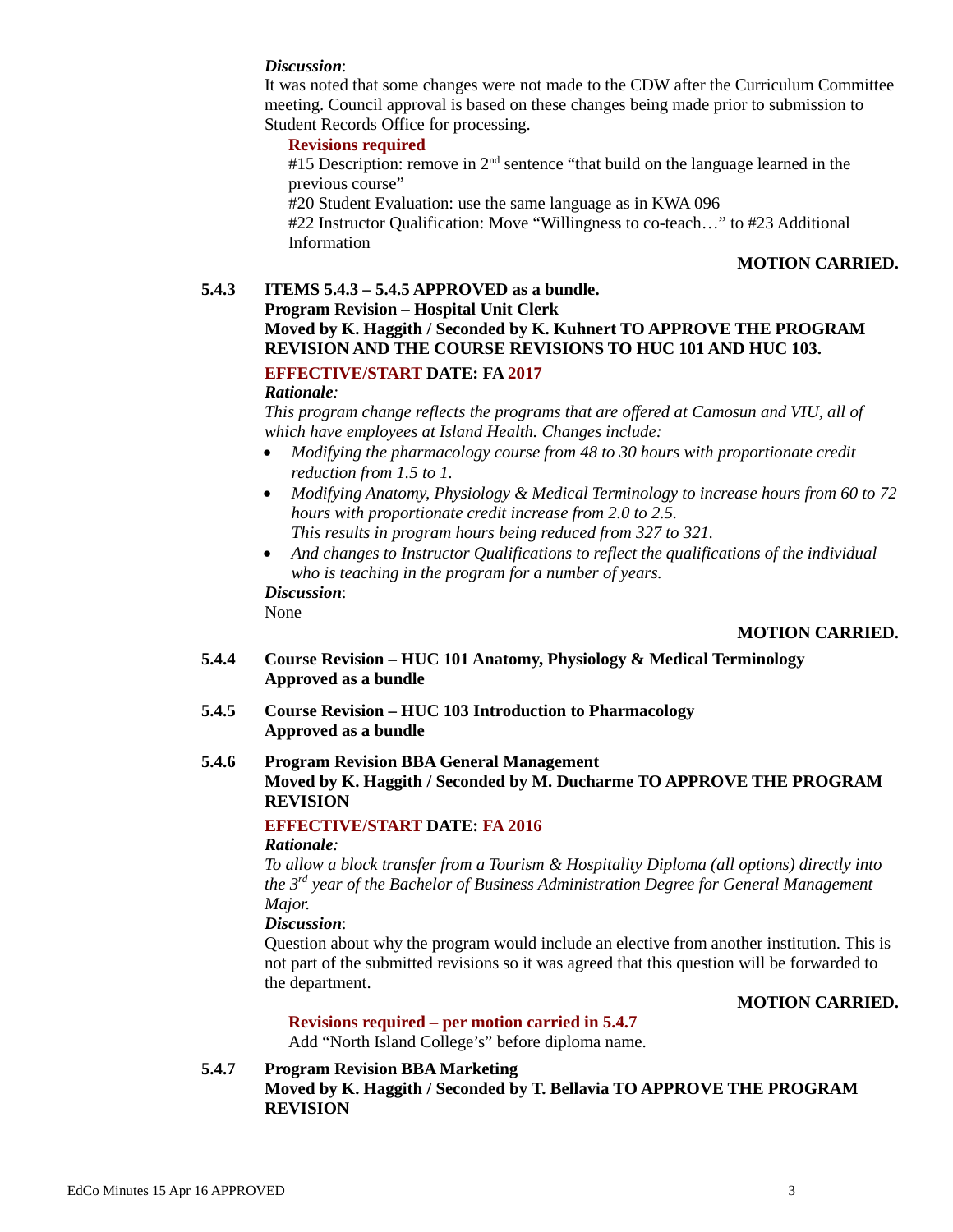### *Discussion*:

It was noted that some changes were not made to the CDW after the Curriculum Committee meeting. Council approval is based on these changes being made prior to submission to Student Records Office for processing.

# **Revisions required**

#15 Description: remove in  $2<sup>nd</sup>$  sentence "that build on the language learned in the previous course"

#20 Student Evaluation: use the same language as in KWA 096

#22 Instructor Qualification: Move "Willingness to co-teach…" to #23 Additional Information

#### **MOTION CARRIED.**

## **5.4.3 ITEMS 5.4.3 – 5.4.5 APPROVED as a bundle.**

# **Program Revision – Hospital Unit Clerk Moved by K. Haggith / Seconded by K. Kuhnert TO APPROVE THE PROGRAM REVISION AND THE COURSE REVISIONS TO HUC 101 AND HUC 103.**

# **EFFECTIVE/START DATE: FA 2017**

### *Rationale:*

*This program change reflects the programs that are offered at Camosun and VIU, all of which have employees at Island Health. Changes include:*

- *Modifying the pharmacology course from 48 to 30 hours with proportionate credit reduction from 1.5 to 1.*
- *Modifying Anatomy, Physiology & Medical Terminology to increase hours from 60 to 72 hours with proportionate credit increase from 2.0 to 2.5. This results in program hours being reduced from 327 to 321.*
	-
- *And changes to Instructor Qualifications to reflect the qualifications of the individual who is teaching in the program for a number of years.*

*Discussion*:

# None

## **MOTION CARRIED.**

- **5.4.4 Course Revision – HUC 101 Anatomy, Physiology & Medical Terminology Approved as a bundle**
- **5.4.5 Course Revision – HUC 103 Introduction to Pharmacology Approved as a bundle**

# **5.4.6 Program Revision BBA General Management Moved by K. Haggith / Seconded by M. Ducharme TO APPROVE THE PROGRAM REVISION**

# **EFFECTIVE/START DATE: FA 2016**

#### *Rationale:*

*To allow a block transfer from a Tourism & Hospitality Diploma (all options) directly into the 3rd year of the Bachelor of Business Administration Degree for General Management Major.*

### *Discussion*:

Question about why the program would include an elective from another institution. This is not part of the submitted revisions so it was agreed that this question will be forwarded to the department.

#### **MOTION CARRIED.**

#### **Revisions required – per motion carried in 5.4.7**

Add "North Island College's" before diploma name.

**5.4.7 Program Revision BBA Marketing Moved by K. Haggith / Seconded by T. Bellavia TO APPROVE THE PROGRAM REVISION**